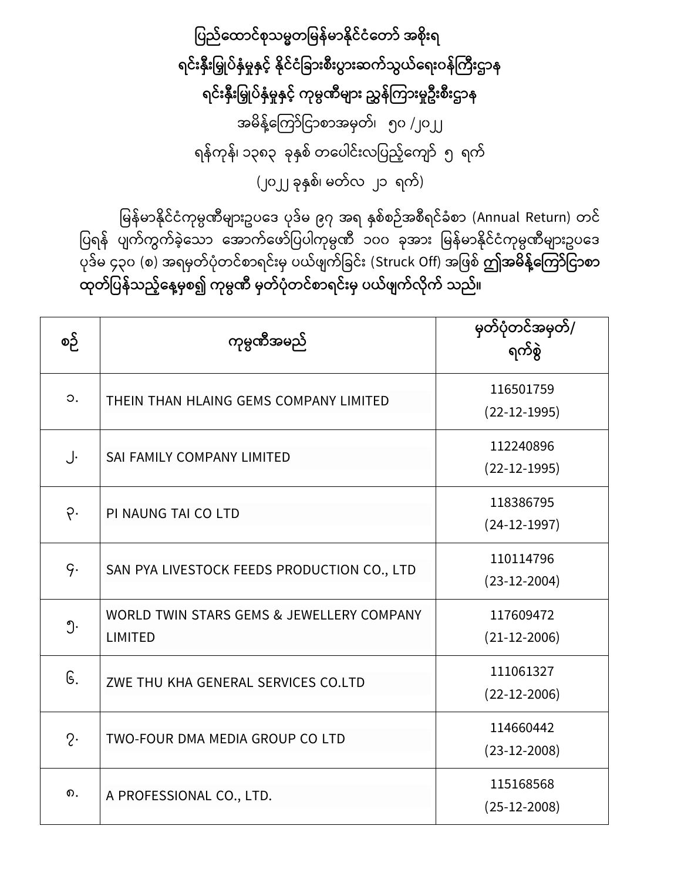ပြည်ထောင်စုသမ္မတမြန်မာနိုင်ငံတော် အစိုးရ ရင်းနှီးမြှုပ်နှံမှုနှင့် နိုင်ငံခြားစီးပွားဆက်သွယ်ရေးဝန်ကြီးဌာန ရင်းနှီးမြှုပ်နှံမှုနှင့် ကုမ္ပဏီများ ညွှန်ကြားမှုဦးစီးဌာန အမိန့်ကြော်ငြာစာအမှတ်၊ ၅၀ /၂၀၂၂ ရန်ကုန်၊ ၁၃၈၃ ခုနှစ် တပေါင်းလပြည့်ကျော် ၅ ရက် (၂၀၂၂ ခုနှစ်၊ မတ်လ ၂၁ ရက်)

မြန်မာနိုင်ငံကုမ္ပဏီများဥပဒေ ပုဒ်မ ၉၇ အရ နှစ်စဉ်အစီရင်ခံစာ (Annual Return) တင် .<br>ပြရန် ပျက်ကွက်ခဲ့သော အောက်ဖော်ပြပါကုမ္ပဏီ ၁၀၀ ခုအား မြန်မာနိုင်ငံကုမ္ပဏီများဥပဒေ ြုေြော်မ ၄၃၀ (စ) အရမှတြော်ြံုတ ြော်စြာရ ြော််းမှ ြယြော် ြော်ငခ ြော််း (Struck Off) အင စြော် **ဤအမ္ န့််ထကကော်ပငောစော ုတ်ပြန်သည့််ထန့်မ္ှစ၍ ကုမ္ပဏ မ္ှတ်ြံုတင်စောရင်ိုးမ္ှ ြယ်ဖ က်လ ုက် သည်။**

| စဉ်       | ကုမ္ပဏီအမည်                                                 | မှတ်ပုံတင်အမှတ်/<br>ရက်စွဲ  |
|-----------|-------------------------------------------------------------|-----------------------------|
| $\circ$ . | THEIN THAN HLAING GEMS COMPANY LIMITED                      | 116501759<br>$(22-12-1995)$ |
| J.        | SAI FAMILY COMPANY LIMITED                                  | 112240896<br>$(22-12-1995)$ |
| ò.        | PI NAUNG TAI CO LTD                                         | 118386795<br>$(24-12-1997)$ |
| q.        | SAN PYA LIVESTOCK FEEDS PRODUCTION CO., LTD                 | 110114796<br>$(23-12-2004)$ |
| ၅.        | WORLD TWIN STARS GEMS & JEWELLERY COMPANY<br><b>LIMITED</b> | 117609472<br>$(21-12-2006)$ |
| G.        | ZWE THU KHA GENERAL SERVICES CO.LTD                         | 111061327<br>$(22-12-2006)$ |
| $2\cdot$  | TWO-FOUR DMA MEDIA GROUP CO LTD                             | 114660442<br>$(23-12-2008)$ |
| ၈.        | A PROFESSIONAL CO., LTD.                                    | 115168568<br>$(25-12-2008)$ |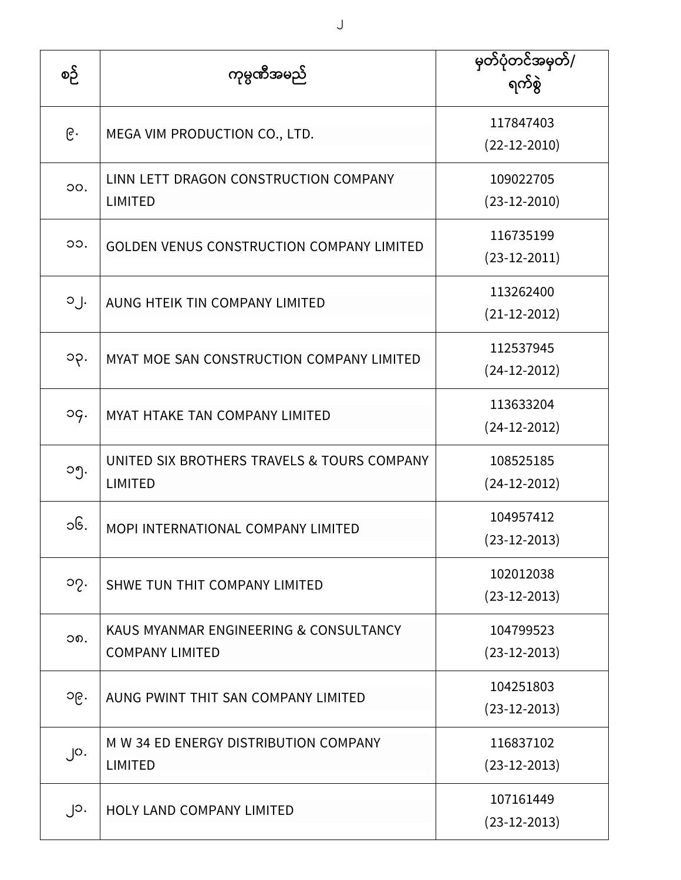| စဉ်               | ကုမ္ပဏီအမည်                                                      | မှတ်ပုံတင်အမှတ်/<br>ရက်စွဲ      |
|-------------------|------------------------------------------------------------------|---------------------------------|
| ၉.                | MEGA VIM PRODUCTION CO., LTD.                                    | 117847403<br>$(22 - 12 - 2010)$ |
| OO.               | LINN LETT DRAGON CONSTRUCTION COMPANY<br><b>LIMITED</b>          | 109022705<br>$(23-12-2010)$     |
| OO.               | <b>GOLDEN VENUS CONSTRUCTION COMPANY LIMITED</b>                 | 116735199<br>$(23-12-2011)$     |
| $0 \int$          | AUNG HTEIK TIN COMPANY LIMITED                                   | 113262400<br>$(21-12-2012)$     |
| ၁၃.               | MYAT MOE SAN CONSTRUCTION COMPANY LIMITED                        | 112537945<br>$(24-12-2012)$     |
| og.               | MYAT HTAKE TAN COMPANY LIMITED                                   | 113633204<br>$(24-12-2012)$     |
| ၁၅.               | UNITED SIX BROTHERS TRAVELS & TOURS COMPANY<br><b>LIMITED</b>    | 108525185<br>$(24-12-2012)$     |
| ၁၆.               | MOPI INTERNATIONAL COMPANY LIMITED                               | 104957412<br>$(23-12-2013)$     |
| ၁၇.               | SHWE TUN THIT COMPANY LIMITED                                    | 102012038<br>$(23-12-2013)$     |
| ວຄ.               | KAUS MYANMAR ENGINEERING & CONSULTANCY<br><b>COMPANY LIMITED</b> | 104799523<br>$(23-12-2013)$     |
| ၁၉.               | AUNG PWINT THIT SAN COMPANY LIMITED                              | 104251803<br>$(23-12-2013)$     |
| $\cdot$ $\circ$ . | M W 34 ED ENERGY DISTRIBUTION COMPANY<br><b>LIMITED</b>          | 116837102<br>$(23-12-2013)$     |
| ၂၁.               | HOLY LAND COMPANY LIMITED                                        | 107161449<br>$(23-12-2013)$     |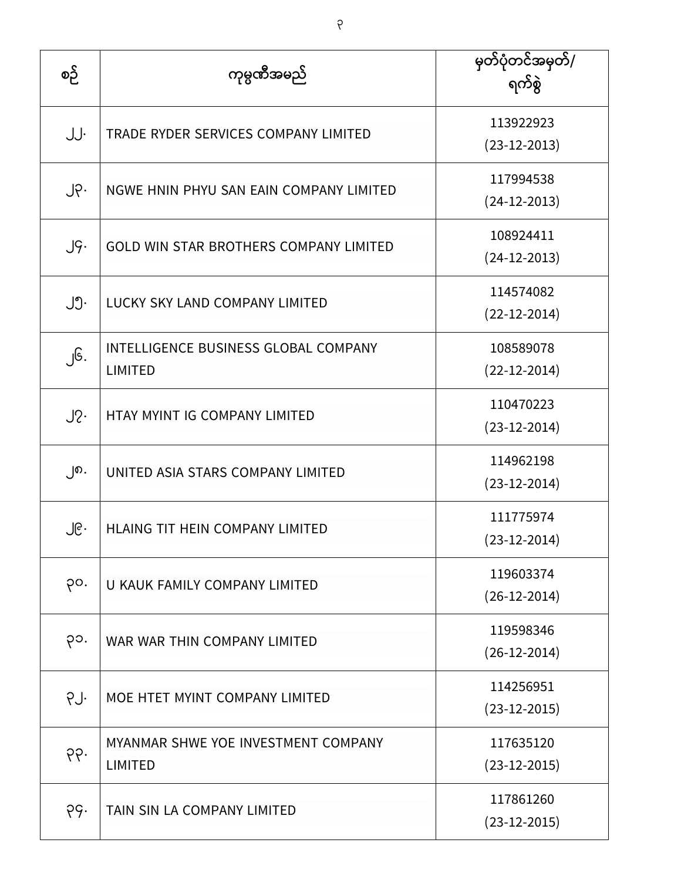| စဉ်    | ကုမ္ပဏီအမည်                                                   | မှတ်ပုံတင်အမှတ်/<br>ရက်စွဲ  |
|--------|---------------------------------------------------------------|-----------------------------|
| JJ.    | TRADE RYDER SERVICES COMPANY LIMITED                          | 113922923<br>$(23-12-2013)$ |
| ၂၃.    | NGWE HNIN PHYU SAN EAIN COMPANY LIMITED                       | 117994538<br>$(24-12-2013)$ |
| J9.    | <b>GOLD WIN STAR BROTHERS COMPANY LIMITED</b>                 | 108924411<br>$(24-12-2013)$ |
| ၂၅.    | LUCKY SKY LAND COMPANY LIMITED                                | 114574082<br>$(22-12-2014)$ |
| ၂၆.    | <b>INTELLIGENCE BUSINESS GLOBAL COMPANY</b><br><b>LIMITED</b> | 108589078<br>$(22-12-2014)$ |
| $J2$ . | HTAY MYINT IG COMPANY LIMITED                                 | 110470223<br>$(23-12-2014)$ |
| ၂၈.    | UNITED ASIA STARS COMPANY LIMITED                             | 114962198<br>$(23-12-2014)$ |
| ၂၉.    | HLAING TIT HEIN COMPANY LIMITED                               | 111775974<br>$(23-12-2014)$ |
| po.    | U KAUK FAMILY COMPANY LIMITED                                 | 119603374<br>$(26-12-2014)$ |
| ၃၁.    | WAR WAR THIN COMPANY LIMITED                                  | 119598346<br>$(26-12-2014)$ |
| PJ.    | MOE HTET MYINT COMPANY LIMITED                                | 114256951<br>$(23-12-2015)$ |
| og.    | MYANMAR SHWE YOE INVESTMENT COMPANY<br><b>LIMITED</b>         | 117635120<br>$(23-12-2015)$ |
| ၃၄.    | TAIN SIN LA COMPANY LIMITED                                   | 117861260<br>$(23-12-2015)$ |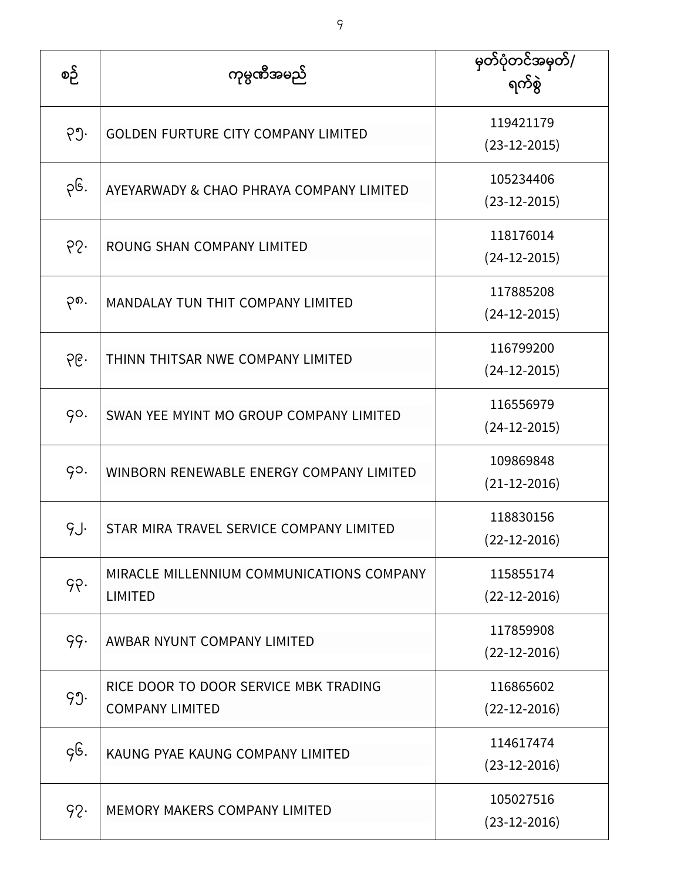| စဉ်  | ကုမ္ပဏီအမည်                                                     | မြတ်ပုံတင်အမှတ်/<br>ရက်စွဲ      |
|------|-----------------------------------------------------------------|---------------------------------|
| ၃၅.  | <b>GOLDEN FURTURE CITY COMPANY LIMITED</b>                      | 119421179<br>$(23-12-2015)$     |
| ၃၆.  | AYEYARWADY & CHAO PHRAYA COMPANY LIMITED                        | 105234406<br>$(23-12-2015)$     |
| 65.  | ROUNG SHAN COMPANY LIMITED                                      | 118176014<br>$(24-12-2015)$     |
| ၃၈.  | MANDALAY TUN THIT COMPANY LIMITED                               | 117885208<br>$(24-12-2015)$     |
| ၃၉.  | THINN THITSAR NWE COMPANY LIMITED                               | 116799200<br>$(24-12-2015)$     |
| GO.  | SWAN YEE MYINT MO GROUP COMPANY LIMITED                         | 116556979<br>$(24-12-2015)$     |
| go.  | WINBORN RENEWABLE ENERGY COMPANY LIMITED                        | 109869848<br>$(21-12-2016)$     |
| g.J. | STAR MIRA TRAVEL SERVICE COMPANY LIMITED                        | 118830156<br>$(22 - 12 - 2016)$ |
| 99.  | MIRACLE MILLENNIUM COMMUNICATIONS COMPANY<br><b>LIMITED</b>     | 115855174<br>$(22 - 12 - 2016)$ |
| 99.  | AWBAR NYUNT COMPANY LIMITED                                     | 117859908<br>$(22-12-2016)$     |
| 99.  | RICE DOOR TO DOOR SERVICE MBK TRADING<br><b>COMPANY LIMITED</b> | 116865602<br>$(22-12-2016)$     |
| gG.  | KAUNG PYAE KAUNG COMPANY LIMITED                                | 114617474<br>$(23-12-2016)$     |
| 92.  | <b>MEMORY MAKERS COMPANY LIMITED</b>                            | 105027516<br>$(23-12-2016)$     |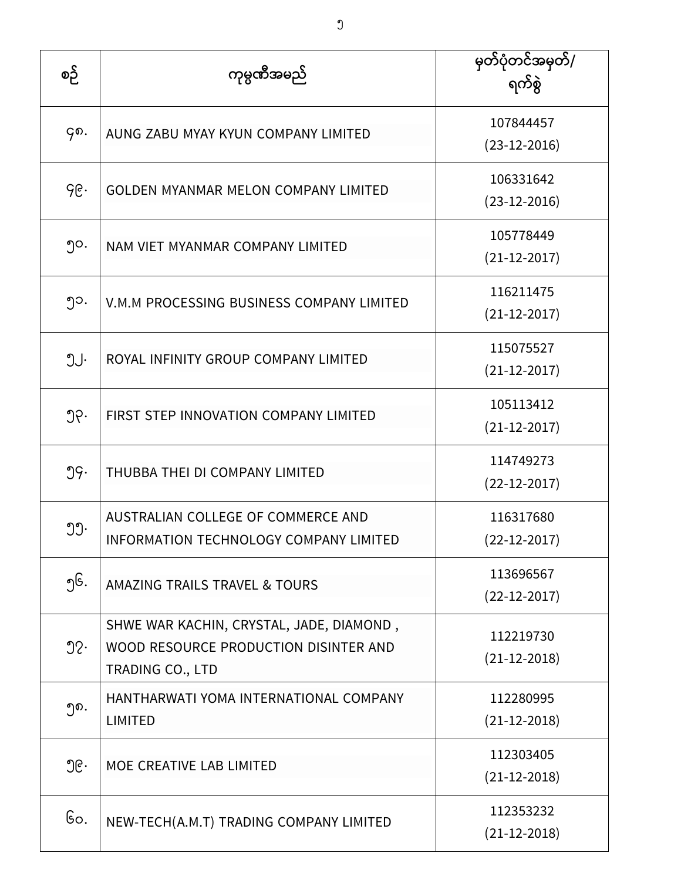| စဉ်              | ကုမ္ပဏီအမည်                                                                                                  | မှတ်ပုံတင်အမှတ်/<br>ရက်စွဲ  |
|------------------|--------------------------------------------------------------------------------------------------------------|-----------------------------|
| ၄၈.              | AUNG ZABU MYAY KYUN COMPANY LIMITED                                                                          | 107844457<br>$(23-12-2016)$ |
| ၄၉.              | <b>GOLDEN MYANMAR MELON COMPANY LIMITED</b>                                                                  | 106331642<br>$(23-12-2016)$ |
| ၅၀.              | NAM VIET MYANMAR COMPANY LIMITED                                                                             | 105778449<br>$(21-12-2017)$ |
| ၅၁.              | V.M.M PROCESSING BUSINESS COMPANY LIMITED                                                                    | 116211475<br>$(21-12-2017)$ |
| ၅၂.              | ROYAL INFINITY GROUP COMPANY LIMITED                                                                         | 115075527<br>$(21-12-2017)$ |
| ၅၃.              | FIRST STEP INNOVATION COMPANY LIMITED                                                                        | 105113412<br>$(21-12-2017)$ |
| 99.              | THUBBA THEI DI COMPANY LIMITED                                                                               | 114749273<br>$(22-12-2017)$ |
| ၅၅.              | AUSTRALIAN COLLEGE OF COMMERCE AND<br>INFORMATION TECHNOLOGY COMPANY LIMITED                                 | 116317680<br>$(22-12-2017)$ |
| ၅၆.              | AMAZING TRAILS TRAVEL & TOURS                                                                                | 113696567<br>$(22-12-2017)$ |
| $\mathfrak{D}$ . | SHWE WAR KACHIN, CRYSTAL, JADE, DIAMOND,<br>WOOD RESOURCE PRODUCTION DISINTER AND<br><b>TRADING CO., LTD</b> | 112219730<br>$(21-12-2018)$ |
| ງຄ.              | HANTHARWATI YOMA INTERNATIONAL COMPANY<br><b>LIMITED</b>                                                     | 112280995<br>$(21-12-2018)$ |
| ၅၉․              | MOE CREATIVE LAB LIMITED                                                                                     | 112303405<br>$(21-12-2018)$ |
| ၆၀.              | NEW-TECH(A.M.T) TRADING COMPANY LIMITED                                                                      | 112353232<br>$(21-12-2018)$ |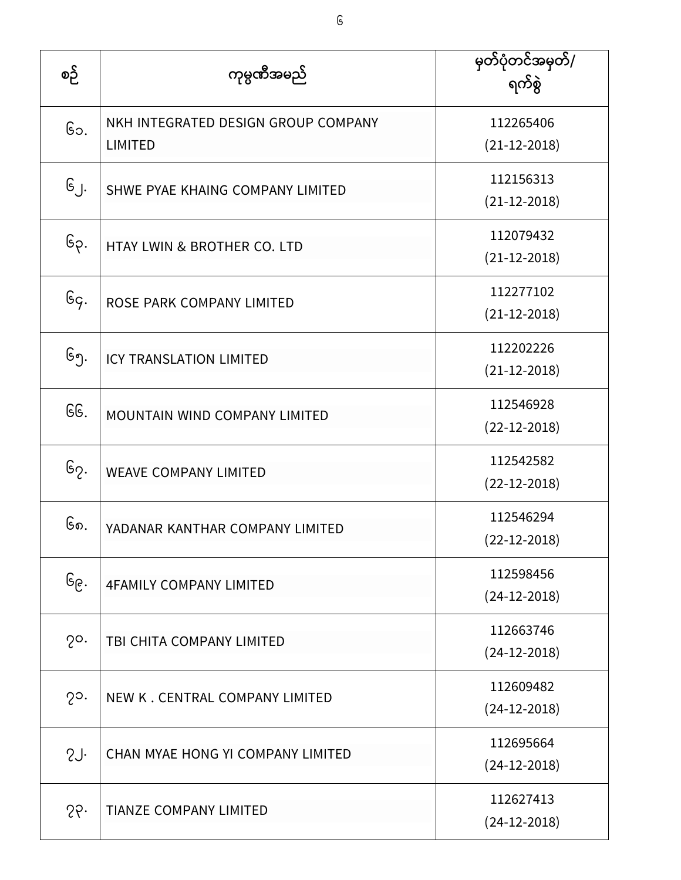| စဉ်               | ကုမ္ပဏီအမည်                                           | မှတ်ပုံတင်အမှတ်/<br>ရက်စွဲ      |
|-------------------|-------------------------------------------------------|---------------------------------|
| ၆၁.               | NKH INTEGRATED DESIGN GROUP COMPANY<br><b>LIMITED</b> | 112265406<br>$(21-12-2018)$     |
| ၆၂.               | SHWE PYAE KHAING COMPANY LIMITED                      | 112156313<br>$(21-12-2018)$     |
| ၆၃.               | HTAY LWIN & BROTHER CO. LTD                           | 112079432<br>$(21-12-2018)$     |
| $G_{\varsigma}$ . | ROSE PARK COMPANY LIMITED                             | 112277102<br>$(21-12-2018)$     |
| ၆၅.               | <b>ICY TRANSLATION LIMITED</b>                        | 112202226<br>$(21-12-2018)$     |
| GG.               | MOUNTAIN WIND COMPANY LIMITED                         | 112546928<br>$(22 - 12 - 2018)$ |
| ၆၇.               | <b>WEAVE COMPANY LIMITED</b>                          | 112542582<br>$(22-12-2018)$     |
| ၆၈.               | YADANAR KANTHAR COMPANY LIMITED                       | 112546294<br>$(22-12-2018)$     |
| ၆၉.               | <b>4FAMILY COMPANY LIMITED</b>                        | 112598456<br>$(24-12-2018)$     |
| $2^{\circ}$ .     | TBI CHITA COMPANY LIMITED                             | 112663746<br>$(24-12-2018)$     |
| $2^{\circ}$ .     | NEW K. CENTRAL COMPANY LIMITED                        | 112609482<br>$(24-12-2018)$     |
| SJ.               | CHAN MYAE HONG YI COMPANY LIMITED                     | 112695664<br>$(24-12-2018)$     |
| 26                | <b>TIANZE COMPANY LIMITED</b>                         | 112627413<br>$(24-12-2018)$     |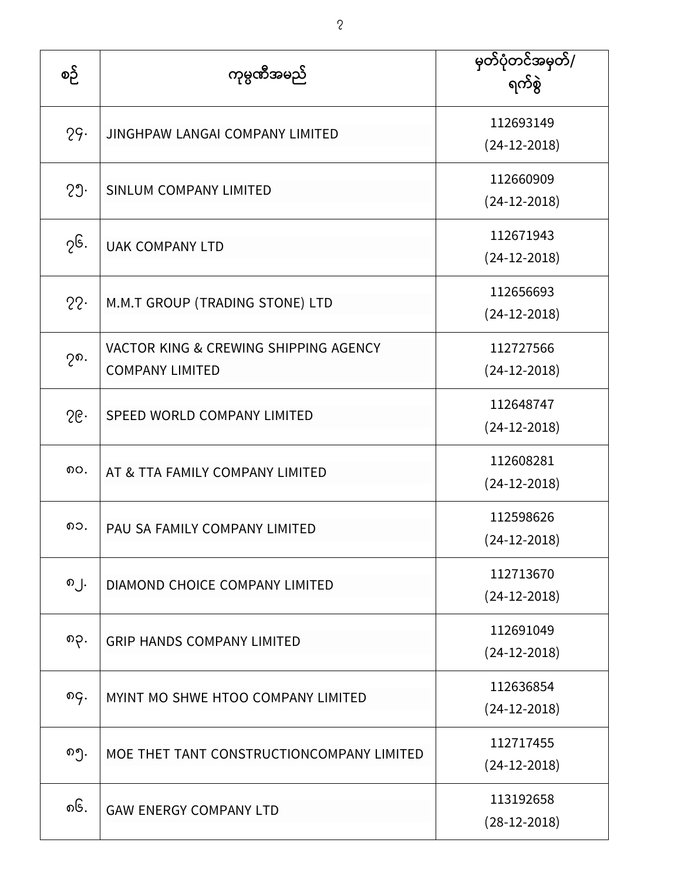| စဉ် | ကုမ္ပဏီအမည်                                                     | မှတ်ပုံတင်အမှတ်/<br>ရက်စွဲ  |
|-----|-----------------------------------------------------------------|-----------------------------|
| 29. | <b>JINGHPAW LANGAI COMPANY LIMITED</b>                          | 112693149<br>$(24-12-2018)$ |
| 29. | <b>SINLUM COMPANY LIMITED</b>                                   | 112660909<br>$(24-12-2018)$ |
| ၇၆. | <b>UAK COMPANY LTD</b>                                          | 112671943<br>$(24-12-2018)$ |
| 22. | M.M.T GROUP (TRADING STONE) LTD                                 | 112656693<br>$(24-12-2018)$ |
| ၇၈. | VACTOR KING & CREWING SHIPPING AGENCY<br><b>COMPANY LIMITED</b> | 112727566<br>$(24-12-2018)$ |
| 56  | SPEED WORLD COMPANY LIMITED                                     | 112648747<br>$(24-12-2018)$ |
| ၈၀. | AT & TTA FAMILY COMPANY LIMITED                                 | 112608281<br>$(24-12-2018)$ |
| ၈၁. | PAU SA FAMILY COMPANY LIMITED                                   | 112598626<br>(24-12-2018)   |
| ၈၂. | DIAMOND CHOICE COMPANY LIMITED                                  | 112713670<br>$(24-12-2018)$ |
| ၈၃. | <b>GRIP HANDS COMPANY LIMITED</b>                               | 112691049<br>$(24-12-2018)$ |
| ၈၄. | MYINT MO SHWE HTOO COMPANY LIMITED                              | 112636854<br>$(24-12-2018)$ |
| ၈၅. | MOE THET TANT CONSTRUCTIONCOMPANY LIMITED                       | 112717455<br>$(24-12-2018)$ |
| ၈၆. | <b>GAW ENERGY COMPANY LTD</b>                                   | 113192658<br>$(28-12-2018)$ |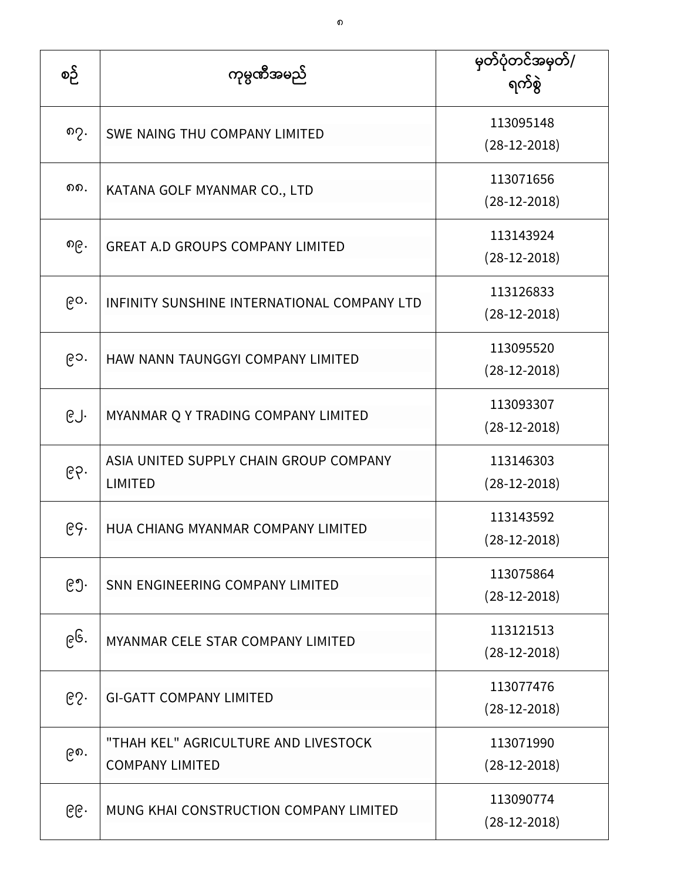| စဉ် | ကုမ္ပဏီအမည်                                                    | မြတ်ပုံတင်အမှတ်/<br>ရက်စွဲ  |
|-----|----------------------------------------------------------------|-----------------------------|
| ၈၇. | SWE NAING THU COMPANY LIMITED                                  | 113095148<br>$(28-12-2018)$ |
| ດດ. | KATANA GOLF MYANMAR CO., LTD                                   | 113071656<br>$(28-12-2018)$ |
| ၈၉. | <b>GREAT A.D GROUPS COMPANY LIMITED</b>                        | 113143924<br>$(28-12-2018)$ |
| ၉၀. | INFINITY SUNSHINE INTERNATIONAL COMPANY LTD                    | 113126833<br>$(28-12-2018)$ |
| ၉၁. | HAW NANN TAUNGGYI COMPANY LIMITED                              | 113095520<br>$(28-12-2018)$ |
| ၉၂. | MYANMAR Q Y TRADING COMPANY LIMITED                            | 113093307<br>$(28-12-2018)$ |
| ၉၃. | ASIA UNITED SUPPLY CHAIN GROUP COMPANY<br><b>LIMITED</b>       | 113146303<br>$(28-12-2018)$ |
| ၉၄. | HUA CHIANG MYANMAR COMPANY LIMITED                             | 113143592<br>$(28-12-2018)$ |
| ၉၅. | SNN ENGINEERING COMPANY LIMITED                                | 113075864<br>$(28-12-2018)$ |
| ၉၆. | MYANMAR CELE STAR COMPANY LIMITED                              | 113121513<br>$(28-12-2018)$ |
| ၉၇. | <b>GI-GATT COMPANY LIMITED</b>                                 | 113077476<br>$(28-12-2018)$ |
| ၉၈. | "THAH KEL" AGRICULTURE AND LIVESTOCK<br><b>COMPANY LIMITED</b> | 113071990<br>$(28-12-2018)$ |
| ၉၉. | MUNG KHAI CONSTRUCTION COMPANY LIMITED                         | 113090774<br>$(28-12-2018)$ |